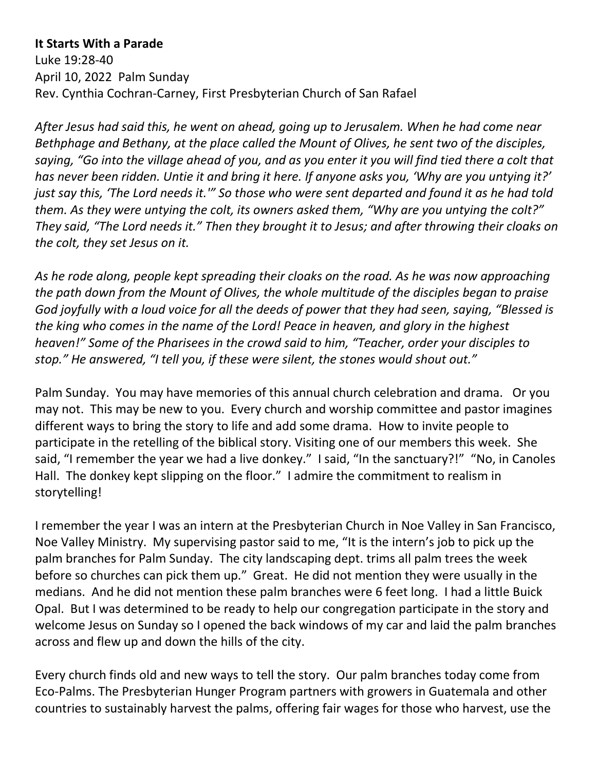**It Starts With a Parade** Luke 19:28-40 April 10, 2022 Palm Sunday Rev. Cynthia Cochran-Carney, First Presbyterian Church of San Rafael

*After Jesus had said this, he went on ahead, going up to Jerusalem. When he had come near Bethphage and Bethany, at the place called the Mount of Olives, he sent two of the disciples, saying, "Go into the village ahead of you, and as you enter it you will find tied there a colt that has never been ridden. Untie it and bring it here. If anyone asks you, 'Why are you untying it?' just say this, 'The Lord needs it.'" So those who were sent departed and found it as he had told them. As they were untying the colt, its owners asked them, "Why are you untying the colt?" They said, "The Lord needs it." Then they brought it to Jesus; and after throwing their cloaks on the colt, they set Jesus on it.* 

*As he rode along, people kept spreading their cloaks on the road. As he was now approaching the path down from the Mount of Olives, the whole multitude of the disciples began to praise God joyfully with a loud voice for all the deeds of power that they had seen, saying, "Blessed is the king who comes in the name of the Lord! Peace in heaven, and glory in the highest heaven!" Some of the Pharisees in the crowd said to him, "Teacher, order your disciples to stop." He answered, "I tell you, if these were silent, the stones would shout out."*

Palm Sunday. You may have memories of this annual church celebration and drama. Or you may not. This may be new to you. Every church and worship committee and pastor imagines different ways to bring the story to life and add some drama. How to invite people to participate in the retelling of the biblical story. Visiting one of our members this week. She said, "I remember the year we had a live donkey." I said, "In the sanctuary?!" "No, in Canoles Hall. The donkey kept slipping on the floor." I admire the commitment to realism in storytelling!

I remember the year I was an intern at the Presbyterian Church in Noe Valley in San Francisco, Noe Valley Ministry. My supervising pastor said to me, "It is the intern's job to pick up the palm branches for Palm Sunday. The city landscaping dept. trims all palm trees the week before so churches can pick them up." Great. He did not mention they were usually in the medians. And he did not mention these palm branches were 6 feet long. I had a little Buick Opal. But I was determined to be ready to help our congregation participate in the story and welcome Jesus on Sunday so I opened the back windows of my car and laid the palm branches across and flew up and down the hills of the city.

Every church finds old and new ways to tell the story. Our palm branches today come from Eco-Palms. The Presbyterian Hunger Program partners with growers in Guatemala and other countries to sustainably harvest the palms, offering fair wages for those who harvest, use the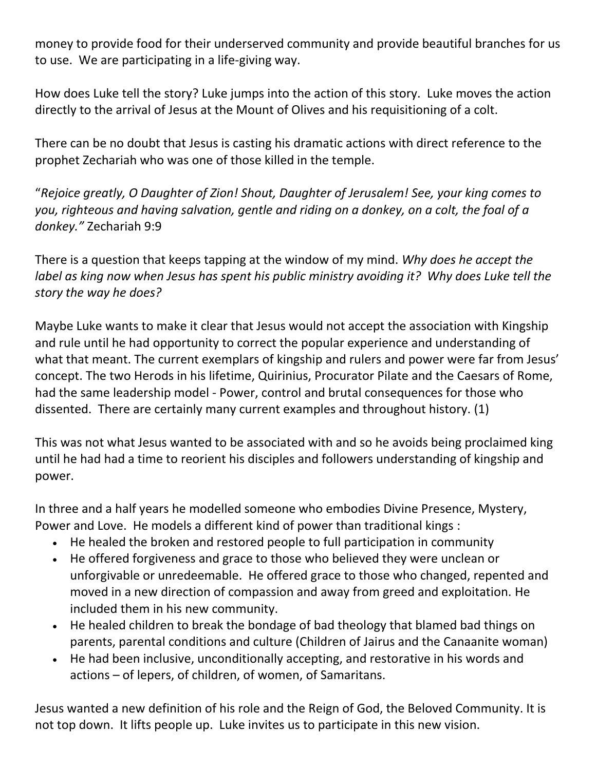money to provide food for their underserved community and provide beautiful branches for us to use. We are participating in a life-giving way.

How does Luke tell the story? Luke jumps into the action of this story. Luke moves the action directly to the arrival of Jesus at the Mount of Olives and his requisitioning of a colt.

There can be no doubt that Jesus is casting his dramatic actions with direct reference to the prophet Zechariah who was one of those killed in the temple.

"*Rejoice greatly, O Daughter of Zion! Shout, Daughter of Jerusalem! See, your king comes to you, righteous and having salvation, gentle and riding on a donkey, on a colt, the foal of a donkey."* Zechariah 9:9

There is a question that keeps tapping at the window of my mind. *Why does he accept the label as king now when Jesus has spent his public ministry avoiding it? Why does Luke tell the story the way he does?* 

Maybe Luke wants to make it clear that Jesus would not accept the association with Kingship and rule until he had opportunity to correct the popular experience and understanding of what that meant. The current exemplars of kingship and rulers and power were far from Jesus' concept. The two Herods in his lifetime, Quirinius, Procurator Pilate and the Caesars of Rome, had the same leadership model - Power, control and brutal consequences for those who dissented. There are certainly many current examples and throughout history. (1)

This was not what Jesus wanted to be associated with and so he avoids being proclaimed king until he had had a time to reorient his disciples and followers understanding of kingship and power.

In three and a half years he modelled someone who embodies Divine Presence, Mystery, Power and Love. He models a different kind of power than traditional kings :

- He healed the broken and restored people to full participation in community
- He offered forgiveness and grace to those who believed they were unclean or unforgivable or unredeemable. He offered grace to those who changed, repented and moved in a new direction of compassion and away from greed and exploitation. He included them in his new community.
- He healed children to break the bondage of bad theology that blamed bad things on parents, parental conditions and culture (Children of Jairus and the Canaanite woman)
- He had been inclusive, unconditionally accepting, and restorative in his words and actions – of lepers, of children, of women, of Samaritans.

Jesus wanted a new definition of his role and the Reign of God, the Beloved Community. It is not top down. It lifts people up. Luke invites us to participate in this new vision.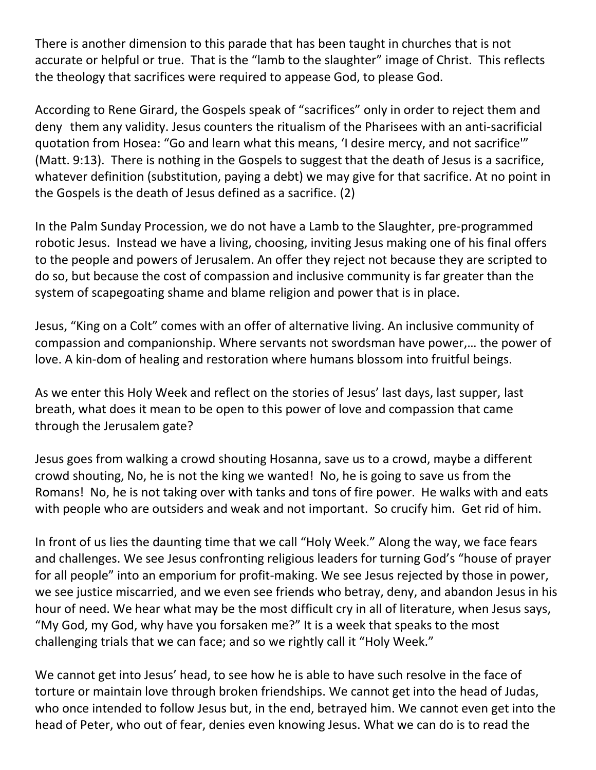There is another dimension to this parade that has been taught in churches that is not accurate or helpful or true. That is the "lamb to the slaughter" image of Christ. This reflects the theology that sacrifices were required to appease God, to please God.

According to Rene Girard, the Gospels speak of "sacrifices" only in order to reject them and deny them any validity. Jesus counters the ritualism of the Pharisees with an anti-sacrificial quotation from Hosea: "Go and learn what this means, 'I desire mercy, and not sacrifice'" (Matt. 9:13). There is nothing in the Gospels to suggest that the death of Jesus is a sacrifice, whatever definition (substitution, paying a debt) we may give for that sacrifice. At no point in the Gospels is the death of Jesus defined as a sacrifice. (2)

In the Palm Sunday Procession, we do not have a Lamb to the Slaughter, pre-programmed robotic Jesus. Instead we have a living, choosing, inviting Jesus making one of his final offers to the people and powers of Jerusalem. An offer they reject not because they are scripted to do so, but because the cost of compassion and inclusive community is far greater than the system of scapegoating shame and blame religion and power that is in place.

Jesus, "King on a Colt" comes with an offer of alternative living. An inclusive community of compassion and companionship. Where servants not swordsman have power,… the power of love. A kin-dom of healing and restoration where humans blossom into fruitful beings.

As we enter this Holy Week and reflect on the stories of Jesus' last days, last supper, last breath, what does it mean to be open to this power of love and compassion that came through the Jerusalem gate?

Jesus goes from walking a crowd shouting Hosanna, save us to a crowd, maybe a different crowd shouting, No, he is not the king we wanted! No, he is going to save us from the Romans! No, he is not taking over with tanks and tons of fire power. He walks with and eats with people who are outsiders and weak and not important. So crucify him. Get rid of him.

In front of us lies the daunting time that we call "Holy Week." Along the way, we face fears and challenges. We see Jesus confronting religious leaders for turning God's "house of prayer for all people" into an emporium for profit-making. We see Jesus rejected by those in power, we see justice miscarried, and we even see friends who betray, deny, and abandon Jesus in his hour of need. We hear what may be the most difficult cry in all of literature, when Jesus says, "My God, my God, why have you forsaken me?" It is a week that speaks to the most challenging trials that we can face; and so we rightly call it "Holy Week."

We cannot get into Jesus' head, to see how he is able to have such resolve in the face of torture or maintain love through broken friendships. We cannot get into the head of Judas, who once intended to follow Jesus but, in the end, betrayed him. We cannot even get into the head of Peter, who out of fear, denies even knowing Jesus. What we can do is to read the